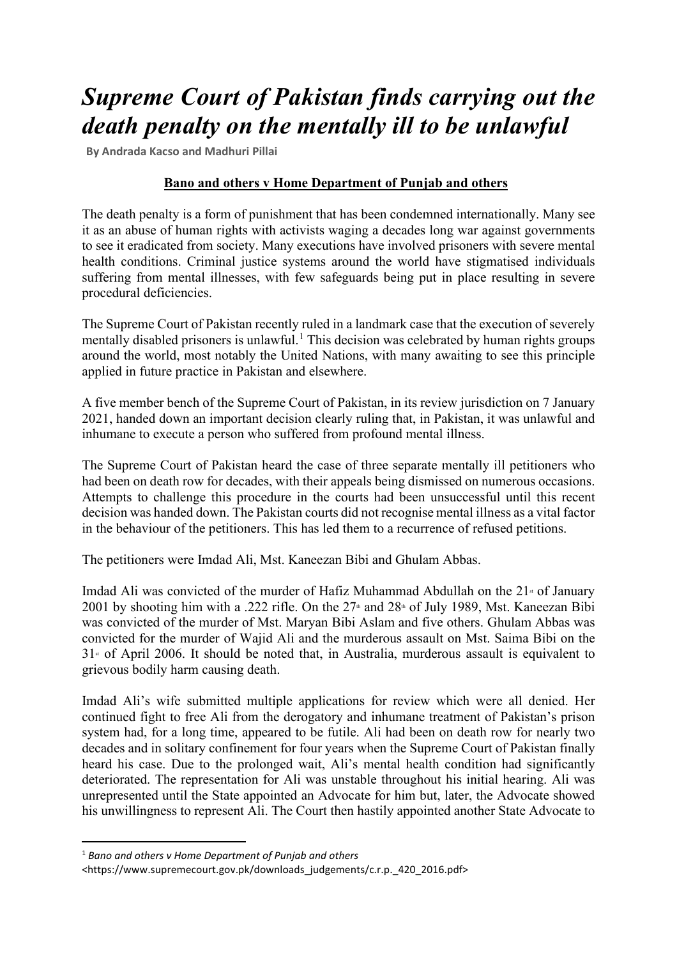## *Supreme Court of Pakistan finds carrying out the death penalty on the mentally ill to be unlawful*

**By Andrada Kacso and Madhuri Pillai**

## **Bano and others v Home Department of Punjab and others**

The death penalty is a form of punishment that has been condemned internationally. Many see it as an abuse of human rights with activists waging a decades long war against governments to see it eradicated from society. Many executions have involved prisoners with severe mental health conditions. Criminal justice systems around the world have stigmatised individuals suffering from mental illnesses, with few safeguards being put in place resulting in severe procedural deficiencies.

The Supreme Court of Pakistan recently ruled in a landmark case that the execution of severely mentally disabled prisoners is unlawful.<sup>[1](#page-0-0)</sup> This decision was celebrated by human rights groups around the world, most notably the United Nations, with many awaiting to see this principle applied in future practice in Pakistan and elsewhere.

A five member bench of the Supreme Court of Pakistan, in its review jurisdiction on 7 January 2021, handed down an important decision clearly ruling that, in Pakistan, it was unlawful and inhumane to execute a person who suffered from profound mental illness.

The Supreme Court of Pakistan heard the case of three separate mentally ill petitioners who had been on death row for decades, with their appeals being dismissed on numerous occasions. Attempts to challenge this procedure in the courts had been unsuccessful until this recent decision was handed down. The Pakistan courts did not recognise mental illness as a vital factor in the behaviour of the petitioners. This has led them to a recurrence of refused petitions.

The petitioners were Imdad Ali, Mst. Kaneezan Bibi and Ghulam Abbas.

Imdad Ali was convicted of the murder of Hafiz Muhammad Abdullah on the  $21<sup>*</sup>$  of January 2001 by shooting him with a .222 rifle. On the  $27<sup>th</sup>$  and  $28<sup>th</sup>$  of July 1989, Mst. Kaneezan Bibi was convicted of the murder of Mst. Maryan Bibi Aslam and five others. Ghulam Abbas was convicted for the murder of Wajid Ali and the murderous assault on Mst. Saima Bibi on the  $31$ <sup>st</sup> of April 2006. It should be noted that, in Australia, murderous assault is equivalent to grievous bodily harm causing death.

Imdad Ali's wife submitted multiple applications for review which were all denied. Her continued fight to free Ali from the derogatory and inhumane treatment of Pakistan's prison system had, for a long time, appeared to be futile. Ali had been on death row for nearly two decades and in solitary confinement for four years when the Supreme Court of Pakistan finally heard his case. Due to the prolonged wait, Ali's mental health condition had significantly deteriorated. The representation for Ali was unstable throughout his initial hearing. Ali was unrepresented until the State appointed an Advocate for him but, later, the Advocate showed his unwillingness to represent Ali. The Court then hastily appointed another State Advocate to

<span id="page-0-0"></span><sup>1</sup> *Bano and others v Home Department of Punjab and others*

<sup>&</sup>lt;https://www.supremecourt.gov.pk/downloads\_judgements/c.r.p.\_420\_2016.pdf>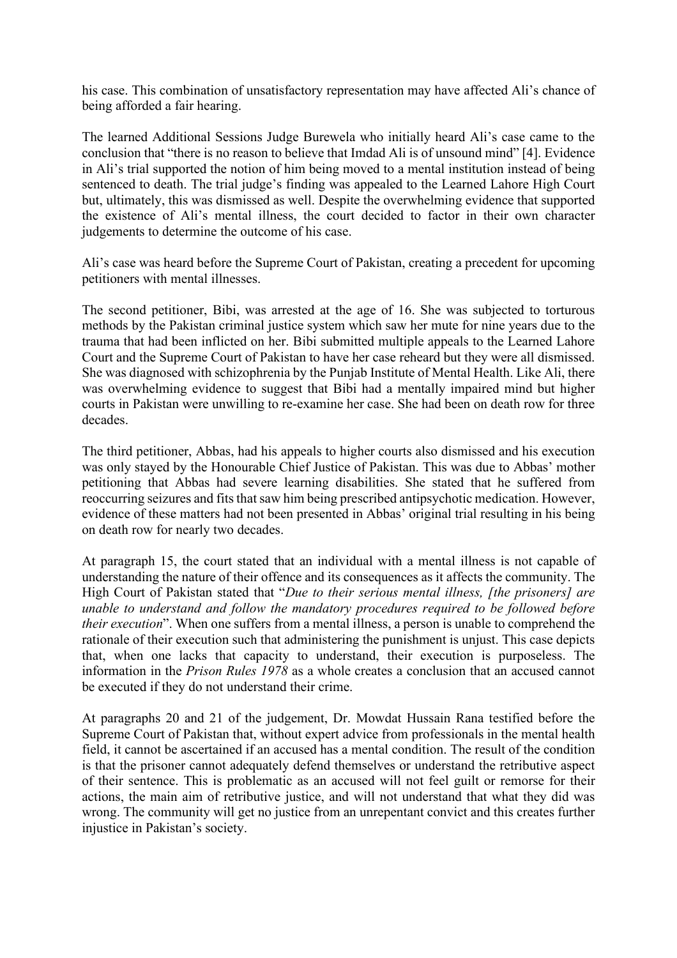his case. This combination of unsatisfactory representation may have affected Ali's chance of being afforded a fair hearing.

The learned Additional Sessions Judge Burewela who initially heard Ali's case came to the conclusion that "there is no reason to believe that Imdad Ali is of unsound mind" [4]. Evidence in Ali's trial supported the notion of him being moved to a mental institution instead of being sentenced to death. The trial judge's finding was appealed to the Learned Lahore High Court but, ultimately, this was dismissed as well. Despite the overwhelming evidence that supported the existence of Ali's mental illness, the court decided to factor in their own character judgements to determine the outcome of his case.

Ali's case was heard before the Supreme Court of Pakistan, creating a precedent for upcoming petitioners with mental illnesses.

The second petitioner, Bibi, was arrested at the age of 16. She was subjected to torturous methods by the Pakistan criminal justice system which saw her mute for nine years due to the trauma that had been inflicted on her. Bibi submitted multiple appeals to the Learned Lahore Court and the Supreme Court of Pakistan to have her case reheard but they were all dismissed. She was diagnosed with schizophrenia by the Punjab Institute of Mental Health. Like Ali, there was overwhelming evidence to suggest that Bibi had a mentally impaired mind but higher courts in Pakistan were unwilling to re-examine her case. She had been on death row for three decades.

The third petitioner, Abbas, had his appeals to higher courts also dismissed and his execution was only stayed by the Honourable Chief Justice of Pakistan. This was due to Abbas' mother petitioning that Abbas had severe learning disabilities. She stated that he suffered from reoccurring seizures and fits that saw him being prescribed antipsychotic medication. However, evidence of these matters had not been presented in Abbas' original trial resulting in his being on death row for nearly two decades.

At paragraph 15, the court stated that an individual with a mental illness is not capable of understanding the nature of their offence and its consequences as it affects the community. The High Court of Pakistan stated that "*Due to their serious mental illness, [the prisoners] are unable to understand and follow the mandatory procedures required to be followed before their execution*". When one suffers from a mental illness, a person is unable to comprehend the rationale of their execution such that administering the punishment is unjust. This case depicts that, when one lacks that capacity to understand, their execution is purposeless. The information in the *Prison Rules 1978* as a whole creates a conclusion that an accused cannot be executed if they do not understand their crime.

At paragraphs 20 and 21 of the judgement, Dr. Mowdat Hussain Rana testified before the Supreme Court of Pakistan that, without expert advice from professionals in the mental health field, it cannot be ascertained if an accused has a mental condition. The result of the condition is that the prisoner cannot adequately defend themselves or understand the retributive aspect of their sentence. This is problematic as an accused will not feel guilt or remorse for their actions, the main aim of retributive justice, and will not understand that what they did was wrong. The community will get no justice from an unrepentant convict and this creates further injustice in Pakistan's society.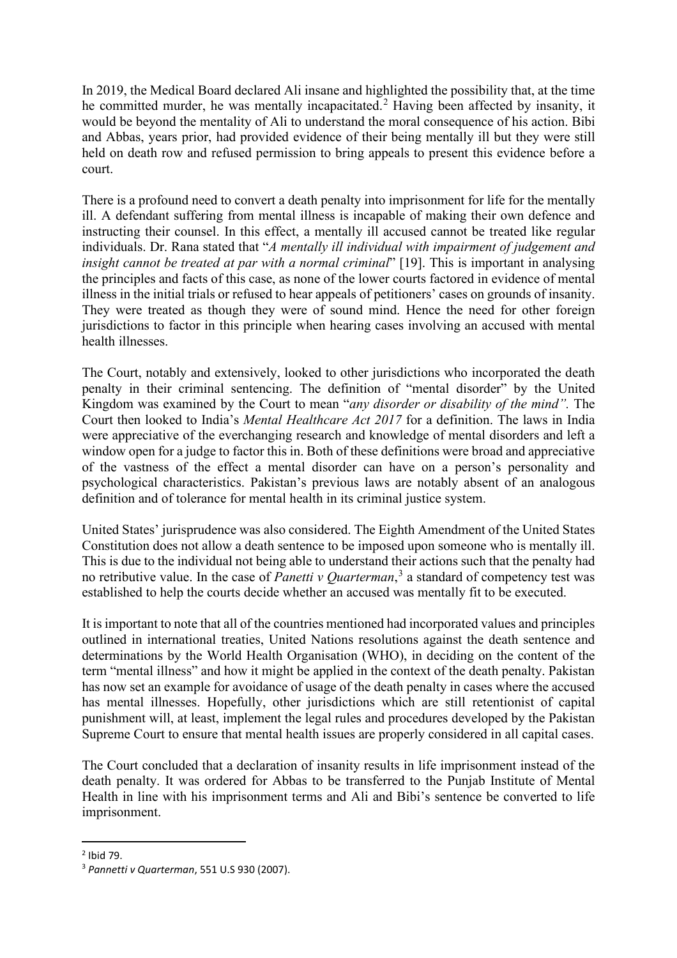In 2019, the Medical Board declared Ali insane and highlighted the possibility that, at the time he committed murder, he was mentally incapacitated. [2](#page-2-0) Having been affected by insanity, it would be beyond the mentality of Ali to understand the moral consequence of his action. Bibi and Abbas, years prior, had provided evidence of their being mentally ill but they were still held on death row and refused permission to bring appeals to present this evidence before a court.

There is a profound need to convert a death penalty into imprisonment for life for the mentally ill. A defendant suffering from mental illness is incapable of making their own defence and instructing their counsel. In this effect, a mentally ill accused cannot be treated like regular individuals. Dr. Rana stated that "*A mentally ill individual with impairment of judgement and insight cannot be treated at par with a normal criminal*" [19]. This is important in analysing the principles and facts of this case, as none of the lower courts factored in evidence of mental illness in the initial trials or refused to hear appeals of petitioners' cases on grounds of insanity. They were treated as though they were of sound mind. Hence the need for other foreign jurisdictions to factor in this principle when hearing cases involving an accused with mental health illnesses.

The Court, notably and extensively, looked to other jurisdictions who incorporated the death penalty in their criminal sentencing. The definition of "mental disorder" by the United Kingdom was examined by the Court to mean "*any disorder or disability of the mind".* The Court then looked to India's *Mental Healthcare Act 2017* for a definition. The laws in India were appreciative of the everchanging research and knowledge of mental disorders and left a window open for a judge to factor this in. Both of these definitions were broad and appreciative of the vastness of the effect a mental disorder can have on a person's personality and psychological characteristics. Pakistan's previous laws are notably absent of an analogous definition and of tolerance for mental health in its criminal justice system.

United States' jurisprudence was also considered. The Eighth Amendment of the United States Constitution does not allow a death sentence to be imposed upon someone who is mentally ill. This is due to the individual not being able to understand their actions such that the penalty had no retributive value. In the case of *Panetti v Quarterman*, [3](#page-2-1) a standard of competency test was established to help the courts decide whether an accused was mentally fit to be executed.

It is important to note that all of the countries mentioned had incorporated values and principles outlined in international treaties, United Nations resolutions against the death sentence and determinations by the World Health Organisation (WHO), in deciding on the content of the term "mental illness" and how it might be applied in the context of the death penalty. Pakistan has now set an example for avoidance of usage of the death penalty in cases where the accused has mental illnesses. Hopefully, other jurisdictions which are still retentionist of capital punishment will, at least, implement the legal rules and procedures developed by the Pakistan Supreme Court to ensure that mental health issues are properly considered in all capital cases.

The Court concluded that a declaration of insanity results in life imprisonment instead of the death penalty. It was ordered for Abbas to be transferred to the Punjab Institute of Mental Health in line with his imprisonment terms and Ali and Bibi's sentence be converted to life imprisonment.

<span id="page-2-0"></span><sup>2</sup> Ibid 79.

<span id="page-2-1"></span><sup>3</sup> *Pannetti v Quarterman*, 551 U.S 930 (2007).